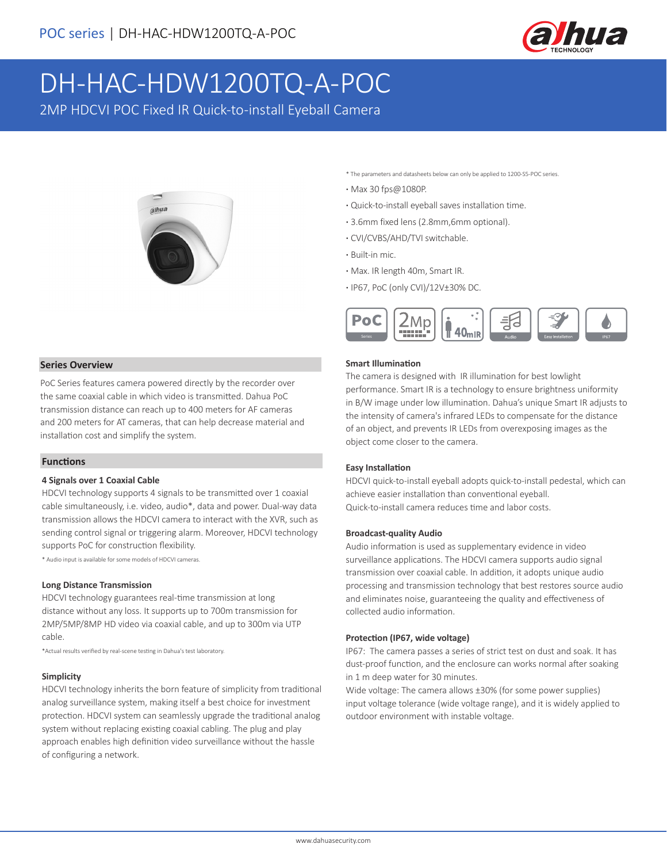

# DH-HAC-HDW1200TQ-A-POC

2MP HDCVI POC Fixed IR Quick-to-install Eyeball Camera



#### **Series Overview**

PoC Series features camera powered directly by the recorder over the same coaxial cable in which video is transmitted. Dahua PoC transmission distance can reach up to 400 meters for AF cameras and 200 meters for AT cameras, that can help decrease material and installation cost and simplify the system.

#### **Functions**

#### **4 Signals over 1 Coaxial Cable**

HDCVI technology supports 4 signals to be transmitted over 1 coaxial cable simultaneously, i.e. video, audio\*, data and power. Dual-way data transmission allows the HDCVI camera to interact with the XVR, such as sending control signal or triggering alarm. Moreover, HDCVI technology supports PoC for construction flexibility.

\* Audio input is available for some models of HDCVI cameras.

#### **Long Distance Transmission**

HDCVI technology guarantees real-time transmission at long distance without any loss. It supports up to 700m transmission for 2MP/5MP/8MP HD video via coaxial cable, and up to 300m via UTP cable.

\*Actual results verified by real-scene testing in Dahua's test laboratory.

#### **Simplicity**

HDCVI technology inherits the born feature of simplicity from traditional analog surveillance system, making itself a best choice for investment protection. HDCVI system can seamlessly upgrade the traditional analog system without replacing existing coaxial cabling. The plug and play approach enables high definition video surveillance without the hassle of configuring a network.

\* The parameters and datasheets below can only be applied to 1200-S5-POC series.

- **·** Max 30 fps@1080P.
- **·** Quick-to-install eyeball saves installation time.
- **·** 3.6mm fixed lens (2.8mm,6mm optional).
- **·** CVI/CVBS/AHD/TVI switchable.
- **·** Built-in mic.
- **·** Max. IR length 40m, Smart IR.
- **·** IP67, PoC (only CVI)/12V±30% DC.



#### **Smart Illumination**

The camera is designed with IR illumination for best lowlight performance. Smart IR is a technology to ensure brightness uniformity in B/W image under low illumination. Dahua's unique Smart IR adjusts to the intensity of camera's infrared LEDs to compensate for the distance of an object, and prevents IR LEDs from overexposing images as the object come closer to the camera.

#### **Easy Installation**

HDCVI quick-to-install eyeball adopts quick-to-install pedestal, which can achieve easier installation than conventional eyeball. Quick-to-install camera reduces time and labor costs.

#### **Broadcast-quality Audio**

Audio information is used as supplementary evidence in video surveillance applications. The HDCVI camera supports audio signal transmission over coaxial cable. In addition, it adopts unique audio processing and transmission technology that best restores source audio and eliminates noise, guaranteeing the quality and effectiveness of collected audio information.

#### **Protection (IP67, wide voltage)**

IP67: The camera passes a series of strict test on dust and soak. It has dust-proof function, and the enclosure can works normal after soaking in 1 m deep water for 30 minutes.

Wide voltage: The camera allows ±30% (for some power supplies) input voltage tolerance (wide voltage range), and it is widely applied to outdoor environment with instable voltage.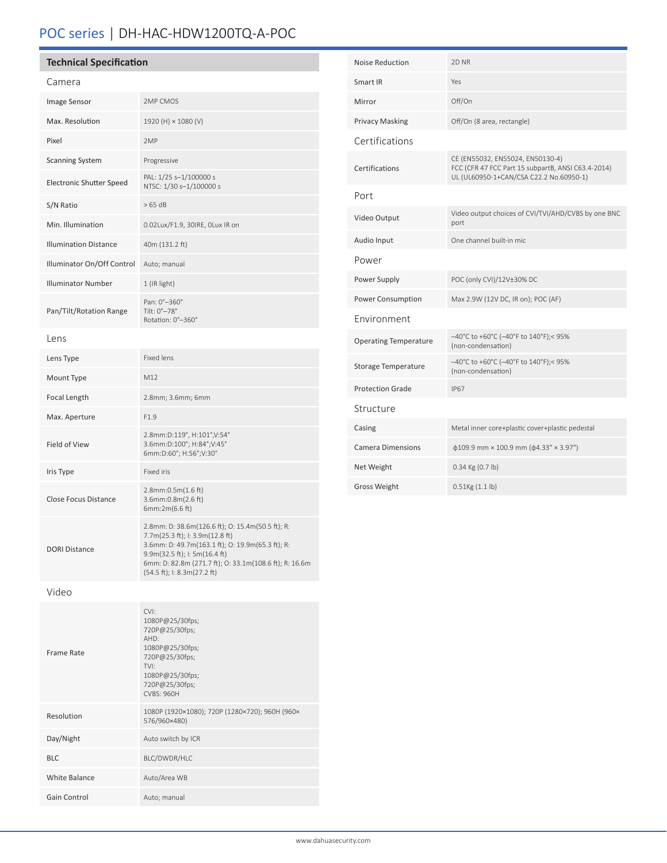# POC series | DH-HAC-HDW1200TQ-A-POC

Gain Control **Auto**; manual

| <b>Technical Specification</b>  |                                                                                                                                                                                                                                                                   |  | Noise Reduction              | 2D NR                                                                                  |
|---------------------------------|-------------------------------------------------------------------------------------------------------------------------------------------------------------------------------------------------------------------------------------------------------------------|--|------------------------------|----------------------------------------------------------------------------------------|
| Camera                          |                                                                                                                                                                                                                                                                   |  | Smart IR                     | Yes                                                                                    |
| Image Sensor                    | 2MP CMOS                                                                                                                                                                                                                                                          |  | Mirror                       | Off/On                                                                                 |
| Max. Resolution                 | 1920 (H) × 1080 (V)                                                                                                                                                                                                                                               |  | <b>Privacy Masking</b>       | Off/On (8 area, rectangle)                                                             |
| Pixel                           | 2MP                                                                                                                                                                                                                                                               |  | Certifications               |                                                                                        |
| <b>Scanning System</b>          | Progressive                                                                                                                                                                                                                                                       |  | Certifications               | CE (EN55032, EN55024, EN50130-4)<br>FCC (CFR 47 FCC Part 15 subpartB, ANSI C63.4-2014) |
| <b>Electronic Shutter Speed</b> | PAL: 1/25 s-1/100000 s<br>NTSC: 1/30 s-1/100000 s                                                                                                                                                                                                                 |  |                              | UL (UL60950-1+CAN/CSA C22.2 No.60950-1)                                                |
| S/N Ratio                       | >65 dB                                                                                                                                                                                                                                                            |  | Port                         |                                                                                        |
| Min. Illumination               | 0.02Lux/F1.9, 30IRE, OLux IR on                                                                                                                                                                                                                                   |  | Video Output                 | Video output choices of CVI/TVI/AHD/CVBS by one BNC<br>port                            |
| <b>Illumination Distance</b>    | 40m (131.2 ft)                                                                                                                                                                                                                                                    |  | Audio Input                  | One channel built-in mic                                                               |
| Illuminator On/Off Control      | Auto; manual                                                                                                                                                                                                                                                      |  | Power                        |                                                                                        |
| <b>Illuminator Number</b>       | 1 (IR light)                                                                                                                                                                                                                                                      |  | Power Supply                 | POC (only CVI)/12V±30% DC                                                              |
|                                 | Pan: 0°-360°<br>Tilt: 0°-78°<br>Rotation: 0°-360°                                                                                                                                                                                                                 |  | Power Consumption            | Max 2.9W (12V DC, IR on); POC (AF)                                                     |
| Pan/Tilt/Rotation Range         |                                                                                                                                                                                                                                                                   |  | Environment                  |                                                                                        |
| Lens                            |                                                                                                                                                                                                                                                                   |  | <b>Operating Temperature</b> | -40°C to +60°C (-40°F to 140°F);< 95%<br>(non-condensation)                            |
| Lens Type                       | Fixed lens                                                                                                                                                                                                                                                        |  | Storage Temperature          | -40°C to +60°C (-40°F to 140°F);< 95%<br>(non-condensation)                            |
| Mount Type                      | M12                                                                                                                                                                                                                                                               |  | <b>Protection Grade</b>      | <b>IP67</b>                                                                            |
| Focal Length                    | 2.8mm; 3.6mm; 6mm                                                                                                                                                                                                                                                 |  | Structure                    |                                                                                        |
| Max. Aperture                   | F1.9                                                                                                                                                                                                                                                              |  | Casing                       | Metal inner core+plastic cover+plastic pedestal                                        |
| Field of View                   | 2.8mm:D:119°, H:101°,V:54°<br>3.6mm:D:100°; H:84°; V:45°<br>6mm:D:60°; H:56°;V:30°                                                                                                                                                                                |  | <b>Camera Dimensions</b>     | $\phi$ 109.9 mm × 100.9 mm ( $\phi$ 4.33" × 3.97")                                     |
| Iris Type                       | Fixed iris                                                                                                                                                                                                                                                        |  | Net Weight                   | 0.34 Kg (0.7 lb)                                                                       |
| Close Focus Distance            | $2.8$ mm:0.5m $(1.6$ ft)<br>3.6mm:0.8m(2.6 ft)<br>6mm: $2m(6.6 ft)$                                                                                                                                                                                               |  | <b>Gross Weight</b>          | $0.51$ Kg $(1.1$ lb)                                                                   |
| <b>DORI Distance</b>            | 2.8mm: D: 38.6m(126.6 ft); O: 15.4m(50.5 ft); R:<br>7.7m(25.3 ft); I: 3.9m(12.8 ft)<br>3.6mm: D: 49.7m(163.1 ft); O: 19.9m(65.3 ft); R:<br>9.9m(32.5 ft); I: 5m(16.4 ft)<br>6mm: D: 82.8m (271.7 ft); O: 33.1m(108.6 ft); R: 16.6m<br>(54.5 ft); I: 8.3m(27.2 ft) |  |                              |                                                                                        |
| Video                           |                                                                                                                                                                                                                                                                   |  |                              |                                                                                        |
| Frame Rate                      | CVI:<br>1080P@25/30fps;<br>720P@25/30fps;<br>AHD:<br>1080P@25/30fps;<br>720P@25/30fps;<br>TVI:<br>1080P@25/30fps;<br>720P@25/30fps;<br>CVBS: 960H                                                                                                                 |  |                              |                                                                                        |
| Resolution                      | 1080P (1920×1080); 720P (1280×720); 960H (960×<br>576/960×480)                                                                                                                                                                                                    |  |                              |                                                                                        |
| Day/Night                       | Auto switch by ICR                                                                                                                                                                                                                                                |  |                              |                                                                                        |
| <b>BLC</b>                      | BLC/DWDR/HLC                                                                                                                                                                                                                                                      |  |                              |                                                                                        |
| White Balance                   | Auto/Area WB                                                                                                                                                                                                                                                      |  |                              |                                                                                        |